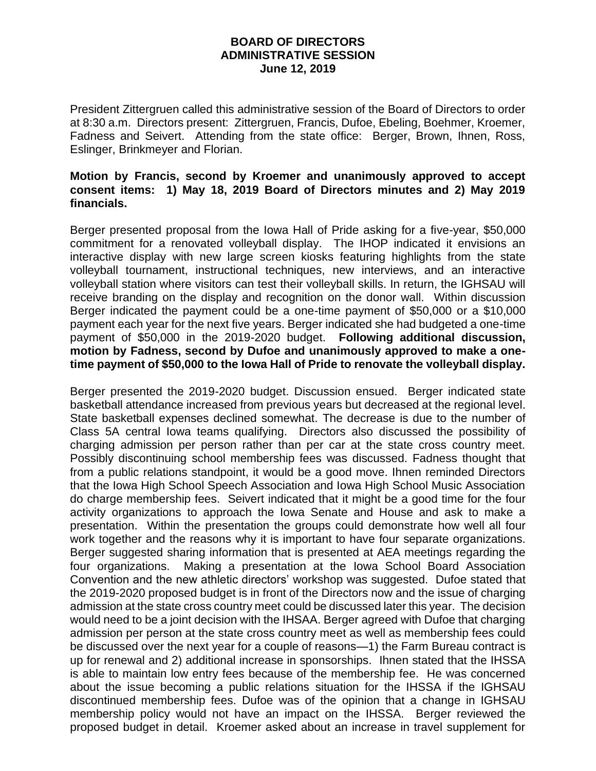## **BOARD OF DIRECTORS ADMINISTRATIVE SESSION June 12, 2019**

President Zittergruen called this administrative session of the Board of Directors to order at 8:30 a.m. Directors present: Zittergruen, Francis, Dufoe, Ebeling, Boehmer, Kroemer, Fadness and Seivert. Attending from the state office: Berger, Brown, Ihnen, Ross, Eslinger, Brinkmeyer and Florian.

## **Motion by Francis, second by Kroemer and unanimously approved to accept consent items: 1) May 18, 2019 Board of Directors minutes and 2) May 2019 financials.**

Berger presented proposal from the Iowa Hall of Pride asking for a five-year, \$50,000 commitment for a renovated volleyball display. The IHOP indicated it envisions an interactive display with new large screen kiosks featuring highlights from the state volleyball tournament, instructional techniques, new interviews, and an interactive volleyball station where visitors can test their volleyball skills. In return, the IGHSAU will receive branding on the display and recognition on the donor wall. Within discussion Berger indicated the payment could be a one-time payment of \$50,000 or a \$10,000 payment each year for the next five years. Berger indicated she had budgeted a one-time payment of \$50,000 in the 2019-2020 budget. **Following additional discussion, motion by Fadness, second by Dufoe and unanimously approved to make a onetime payment of \$50,000 to the Iowa Hall of Pride to renovate the volleyball display.** 

Berger presented the 2019-2020 budget. Discussion ensued. Berger indicated state basketball attendance increased from previous years but decreased at the regional level. State basketball expenses declined somewhat. The decrease is due to the number of Class 5A central Iowa teams qualifying. Directors also discussed the possibility of charging admission per person rather than per car at the state cross country meet. Possibly discontinuing school membership fees was discussed. Fadness thought that from a public relations standpoint, it would be a good move. Ihnen reminded Directors that the Iowa High School Speech Association and Iowa High School Music Association do charge membership fees. Seivert indicated that it might be a good time for the four activity organizations to approach the Iowa Senate and House and ask to make a presentation. Within the presentation the groups could demonstrate how well all four work together and the reasons why it is important to have four separate organizations. Berger suggested sharing information that is presented at AEA meetings regarding the four organizations. Making a presentation at the Iowa School Board Association Convention and the new athletic directors' workshop was suggested. Dufoe stated that the 2019-2020 proposed budget is in front of the Directors now and the issue of charging admission at the state cross country meet could be discussed later this year. The decision would need to be a joint decision with the IHSAA. Berger agreed with Dufoe that charging admission per person at the state cross country meet as well as membership fees could be discussed over the next year for a couple of reasons—1) the Farm Bureau contract is up for renewal and 2) additional increase in sponsorships. Ihnen stated that the IHSSA is able to maintain low entry fees because of the membership fee. He was concerned about the issue becoming a public relations situation for the IHSSA if the IGHSAU discontinued membership fees. Dufoe was of the opinion that a change in IGHSAU membership policy would not have an impact on the IHSSA. Berger reviewed the proposed budget in detail. Kroemer asked about an increase in travel supplement for